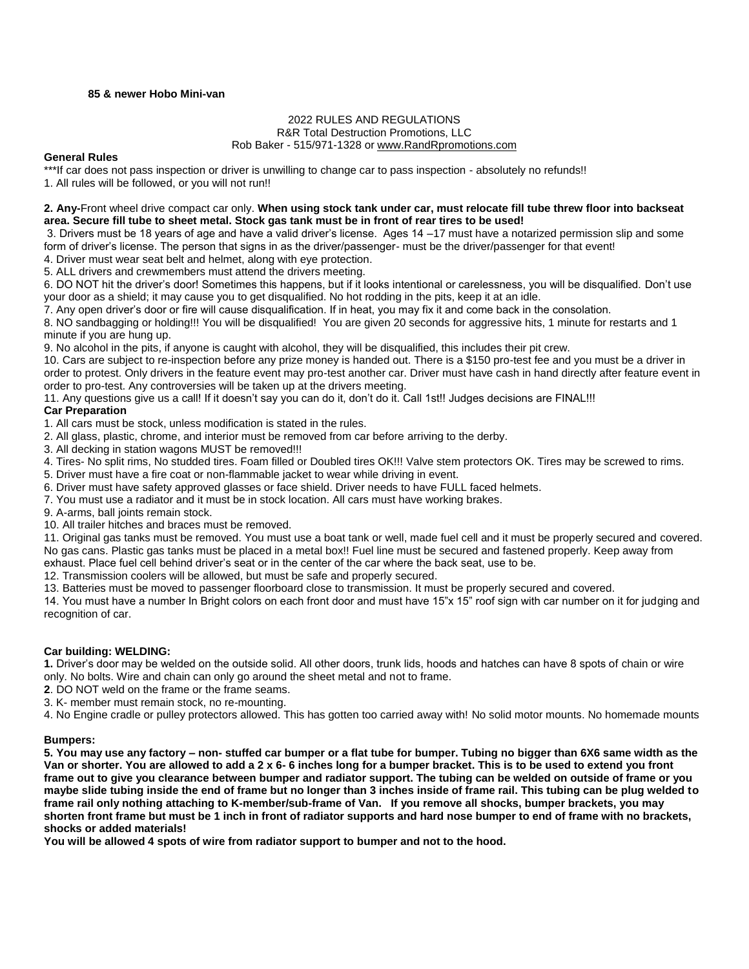## **85 & newer Hobo Mini-van**

# 2022 RULES AND REGULATIONS

R&R Total Destruction Promotions, LLC

#### Rob Baker - 515/971-1328 o[r www.RandRpromotions.com](file:///C:/Users/Owner/2008%20Contracts/www.RandRpromotions.com)

#### **General Rules**

\*\*\*If car does not pass inspection or driver is unwilling to change car to pass inspection - absolutely no refunds!!

1. All rules will be followed, or you will not run!!

## **2. Any-**Front wheel drive compact car only. **When using stock tank under car, must relocate fill tube threw floor into backseat area. Secure fill tube to sheet metal. Stock gas tank must be in front of rear tires to be used!**

3. Drivers must be 18 years of age and have a valid driver's license. Ages 14 –17 must have a notarized permission slip and some form of driver's license. The person that signs in as the driver/passenger- must be the driver/passenger for that event! 4. Driver must wear seat belt and helmet, along with eye protection.

5. ALL drivers and crewmembers must attend the drivers meeting.

6. DO NOT hit the driver's door! Sometimes this happens, but if it looks intentional or carelessness, you will be disqualified. Don't use your door as a shield; it may cause you to get disqualified. No hot rodding in the pits, keep it at an idle.

7. Any open driver's door or fire will cause disqualification. If in heat, you may fix it and come back in the consolation.

8. NO sandbagging or holding!!! You will be disqualified! You are given 20 seconds for aggressive hits, 1 minute for restarts and 1 minute if you are hung up.

9. No alcohol in the pits, if anyone is caught with alcohol, they will be disqualified, this includes their pit crew.

10. Cars are subject to re-inspection before any prize money is handed out. There is a \$150 pro-test fee and you must be a driver in order to protest. Only drivers in the feature event may pro-test another car. Driver must have cash in hand directly after feature event in order to pro-test. Any controversies will be taken up at the drivers meeting.

11. Any questions give us a call! If it doesn't say you can do it, don't do it. Call 1st!! Judges decisions are FINAL!!!

# **Car Preparation**

1. All cars must be stock, unless modification is stated in the rules.

2. All glass, plastic, chrome, and interior must be removed from car before arriving to the derby.

3. All decking in station wagons MUST be removed!!!

4. Tires- No split rims, No studded tires. Foam filled or Doubled tires OK!!! Valve stem protectors OK. Tires may be screwed to rims.

5. Driver must have a fire coat or non-flammable jacket to wear while driving in event.

6. Driver must have safety approved glasses or face shield. Driver needs to have FULL faced helmets.

7. You must use a radiator and it must be in stock location. All cars must have working brakes.

9. A-arms, ball joints remain stock.

10. All trailer hitches and braces must be removed.

11. Original gas tanks must be removed. You must use a boat tank or well, made fuel cell and it must be properly secured and covered. No gas cans. Plastic gas tanks must be placed in a metal box!! Fuel line must be secured and fastened properly. Keep away from exhaust. Place fuel cell behind driver's seat or in the center of the car where the back seat, use to be.

12. Transmission coolers will be allowed, but must be safe and properly secured.

13. Batteries must be moved to passenger floorboard close to transmission. It must be properly secured and covered.

14. You must have a number In Bright colors on each front door and must have 15"x 15" roof sign with car number on it for judging and recognition of car.

## **Car building: WELDING:**

**1.** Driver's door may be welded on the outside solid. All other doors, trunk lids, hoods and hatches can have 8 spots of chain or wire only. No bolts. Wire and chain can only go around the sheet metal and not to frame.

**2**. DO NOT weld on the frame or the frame seams.

3. K- member must remain stock, no re-mounting.

4. No Engine cradle or pulley protectors allowed. This has gotten too carried away with! No solid motor mounts. No homemade mounts

## **Bumpers:**

**5. You may use any factory – non- stuffed car bumper or a flat tube for bumper. Tubing no bigger than 6X6 same width as the Van or shorter. You are allowed to add a 2 x 6- 6 inches long for a bumper bracket. This is to be used to extend you front frame out to give you clearance between bumper and radiator support. The tubing can be welded on outside of frame or you maybe slide tubing inside the end of frame but no longer than 3 inches inside of frame rail. This tubing can be plug welded to frame rail only nothing attaching to K-member/sub-frame of Van. If you remove all shocks, bumper brackets, you may shorten front frame but must be 1 inch in front of radiator supports and hard nose bumper to end of frame with no brackets, shocks or added materials!**

**You will be allowed 4 spots of wire from radiator support to bumper and not to the hood.**